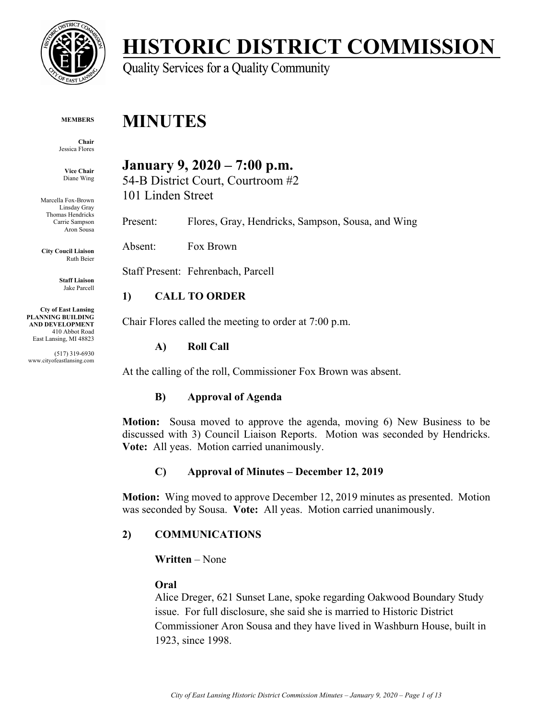

# **HISTORIC DISTRICT COMMISSION**

Quality Services for a Quality Community

#### **MEMBERS**

**Chair**  Jessica Flores

**Vice Chair**  Diane Wing

Marcella Fox-Brown Linsday Gray Thomas Hendricks Carrie Sampson Aron Sousa

**City Coucil Liaison** Ruth Beier

> **Staff Liaison** Jake Parcell

**Cty of East Lansing PLANNING BUILDING AND DEVELOPMENT**  410 Abbot Road East Lansing, MI 48823

(517) 319-6930 www.cityofeastlansing.com

## **January 9, 2020 – 7:00 p.m.**

54-B District Court, Courtroom #2 101 Linden Street

Present: Flores, Gray, Hendricks, Sampson, Sousa, and Wing

Absent: Fox Brown

**MINUTES** 

Staff Present: Fehrenbach, Parcell

#### **1) CALL TO ORDER**

Chair Flores called the meeting to order at 7:00 p.m.

#### **A) Roll Call**

At the calling of the roll, Commissioner Fox Brown was absent.

#### **B) Approval of Agenda**

**Motion:** Sousa moved to approve the agenda, moving 6) New Business to be discussed with 3) Council Liaison Reports. Motion was seconded by Hendricks. **Vote:** All yeas. Motion carried unanimously.

#### **C) Approval of Minutes – December 12, 2019**

**Motion:** Wing moved to approve December 12, 2019 minutes as presented. Motion was seconded by Sousa. **Vote:** All yeas. Motion carried unanimously.

#### **2) COMMUNICATIONS**

**Written** – None

#### **Oral**

Alice Dreger, 621 Sunset Lane, spoke regarding Oakwood Boundary Study issue. For full disclosure, she said she is married to Historic District Commissioner Aron Sousa and they have lived in Washburn House, built in 1923, since 1998.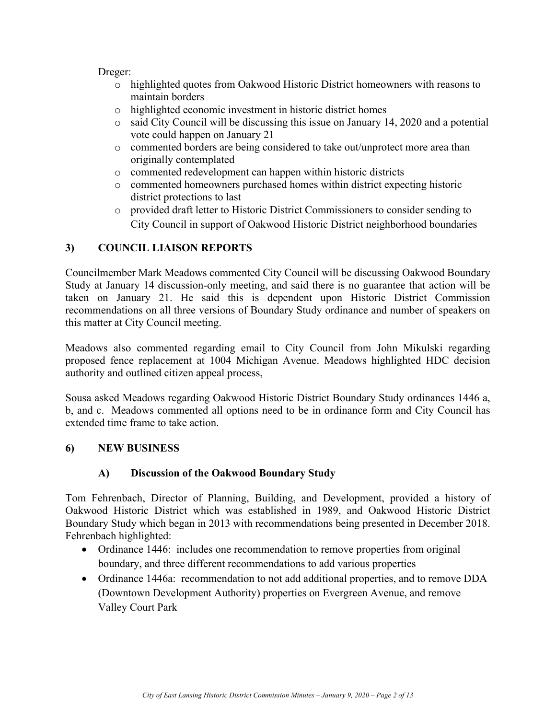Dreger:

- o highlighted quotes from Oakwood Historic District homeowners with reasons to maintain borders
- o highlighted economic investment in historic district homes
- o said City Council will be discussing this issue on January 14, 2020 and a potential vote could happen on January 21
- o commented borders are being considered to take out/unprotect more area than originally contemplated
- o commented redevelopment can happen within historic districts
- o commented homeowners purchased homes within district expecting historic district protections to last
- o provided draft letter to Historic District Commissioners to consider sending to City Council in support of Oakwood Historic District neighborhood boundaries

### **3) COUNCIL LIAISON REPORTS**

Councilmember Mark Meadows commented City Council will be discussing Oakwood Boundary Study at January 14 discussion-only meeting, and said there is no guarantee that action will be taken on January 21. He said this is dependent upon Historic District Commission recommendations on all three versions of Boundary Study ordinance and number of speakers on this matter at City Council meeting.

Meadows also commented regarding email to City Council from John Mikulski regarding proposed fence replacement at 1004 Michigan Avenue. Meadows highlighted HDC decision authority and outlined citizen appeal process,

Sousa asked Meadows regarding Oakwood Historic District Boundary Study ordinances 1446 a, b, and c. Meadows commented all options need to be in ordinance form and City Council has extended time frame to take action.

#### **6) NEW BUSINESS**

#### **A) Discussion of the Oakwood Boundary Study**

Tom Fehrenbach, Director of Planning, Building, and Development, provided a history of Oakwood Historic District which was established in 1989, and Oakwood Historic District Boundary Study which began in 2013 with recommendations being presented in December 2018. Fehrenbach highlighted:

- Ordinance 1446: includes one recommendation to remove properties from original boundary, and three different recommendations to add various properties
- Ordinance 1446a: recommendation to not add additional properties, and to remove DDA (Downtown Development Authority) properties on Evergreen Avenue, and remove Valley Court Park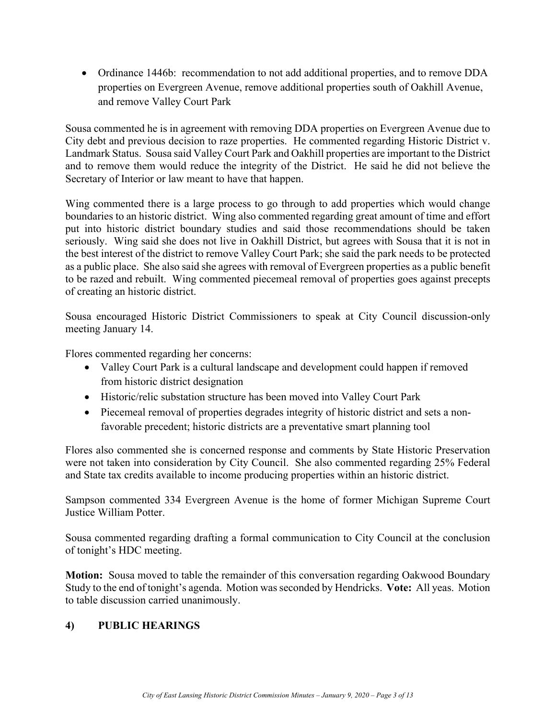Ordinance 1446b: recommendation to not add additional properties, and to remove DDA properties on Evergreen Avenue, remove additional properties south of Oakhill Avenue, and remove Valley Court Park

Sousa commented he is in agreement with removing DDA properties on Evergreen Avenue due to City debt and previous decision to raze properties. He commented regarding Historic District v. Landmark Status. Sousa said Valley Court Park and Oakhill properties are important to the District and to remove them would reduce the integrity of the District. He said he did not believe the Secretary of Interior or law meant to have that happen.

Wing commented there is a large process to go through to add properties which would change boundaries to an historic district. Wing also commented regarding great amount of time and effort put into historic district boundary studies and said those recommendations should be taken seriously. Wing said she does not live in Oakhill District, but agrees with Sousa that it is not in the best interest of the district to remove Valley Court Park; she said the park needs to be protected as a public place. She also said she agrees with removal of Evergreen properties as a public benefit to be razed and rebuilt. Wing commented piecemeal removal of properties goes against precepts of creating an historic district.

Sousa encouraged Historic District Commissioners to speak at City Council discussion-only meeting January 14.

Flores commented regarding her concerns:

- Valley Court Park is a cultural landscape and development could happen if removed from historic district designation
- Historic/relic substation structure has been moved into Valley Court Park
- Piecemeal removal of properties degrades integrity of historic district and sets a nonfavorable precedent; historic districts are a preventative smart planning tool

Flores also commented she is concerned response and comments by State Historic Preservation were not taken into consideration by City Council. She also commented regarding 25% Federal and State tax credits available to income producing properties within an historic district.

Sampson commented 334 Evergreen Avenue is the home of former Michigan Supreme Court Justice William Potter.

Sousa commented regarding drafting a formal communication to City Council at the conclusion of tonight's HDC meeting.

**Motion:** Sousa moved to table the remainder of this conversation regarding Oakwood Boundary Study to the end of tonight's agenda. Motion was seconded by Hendricks. **Vote:** All yeas. Motion to table discussion carried unanimously.

#### **4) PUBLIC HEARINGS**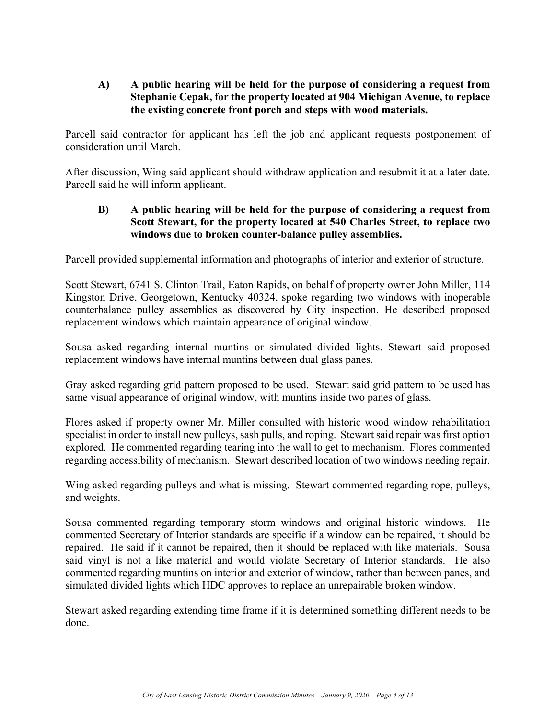#### **A) A public hearing will be held for the purpose of considering a request from Stephanie Cepak, for the property located at 904 Michigan Avenue, to replace the existing concrete front porch and steps with wood materials.**

Parcell said contractor for applicant has left the job and applicant requests postponement of consideration until March.

After discussion, Wing said applicant should withdraw application and resubmit it at a later date. Parcell said he will inform applicant.

#### **B) A public hearing will be held for the purpose of considering a request from Scott Stewart, for the property located at 540 Charles Street, to replace two windows due to broken counter-balance pulley assemblies.**

Parcell provided supplemental information and photographs of interior and exterior of structure.

Scott Stewart, 6741 S. Clinton Trail, Eaton Rapids, on behalf of property owner John Miller, 114 Kingston Drive, Georgetown, Kentucky 40324, spoke regarding two windows with inoperable counterbalance pulley assemblies as discovered by City inspection. He described proposed replacement windows which maintain appearance of original window.

Sousa asked regarding internal muntins or simulated divided lights. Stewart said proposed replacement windows have internal muntins between dual glass panes.

Gray asked regarding grid pattern proposed to be used. Stewart said grid pattern to be used has same visual appearance of original window, with muntins inside two panes of glass.

Flores asked if property owner Mr. Miller consulted with historic wood window rehabilitation specialist in order to install new pulleys, sash pulls, and roping. Stewart said repair was first option explored. He commented regarding tearing into the wall to get to mechanism. Flores commented regarding accessibility of mechanism. Stewart described location of two windows needing repair.

Wing asked regarding pulleys and what is missing. Stewart commented regarding rope, pulleys, and weights.

Sousa commented regarding temporary storm windows and original historic windows. He commented Secretary of Interior standards are specific if a window can be repaired, it should be repaired. He said if it cannot be repaired, then it should be replaced with like materials. Sousa said vinyl is not a like material and would violate Secretary of Interior standards. He also commented regarding muntins on interior and exterior of window, rather than between panes, and simulated divided lights which HDC approves to replace an unrepairable broken window.

Stewart asked regarding extending time frame if it is determined something different needs to be done.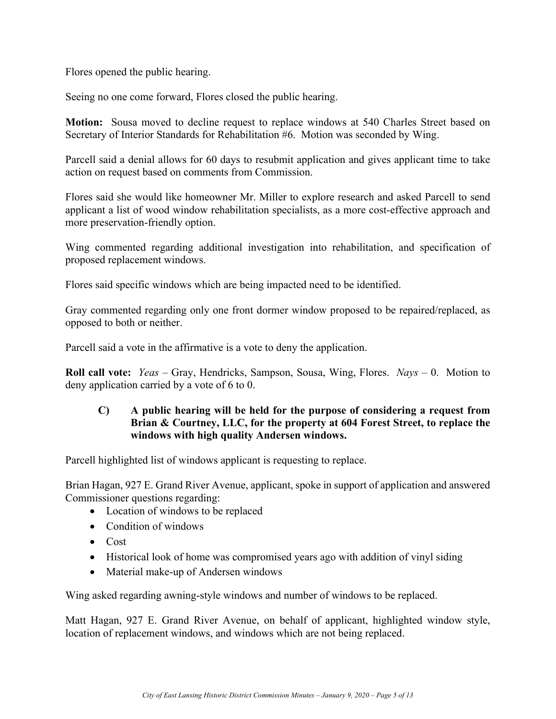Flores opened the public hearing.

Seeing no one come forward, Flores closed the public hearing.

**Motion:** Sousa moved to decline request to replace windows at 540 Charles Street based on Secretary of Interior Standards for Rehabilitation #6. Motion was seconded by Wing.

Parcell said a denial allows for 60 days to resubmit application and gives applicant time to take action on request based on comments from Commission.

Flores said she would like homeowner Mr. Miller to explore research and asked Parcell to send applicant a list of wood window rehabilitation specialists, as a more cost-effective approach and more preservation-friendly option.

Wing commented regarding additional investigation into rehabilitation, and specification of proposed replacement windows.

Flores said specific windows which are being impacted need to be identified.

Gray commented regarding only one front dormer window proposed to be repaired/replaced, as opposed to both or neither.

Parcell said a vote in the affirmative is a vote to deny the application.

**Roll call vote:** *Yeas* – Gray, Hendricks, Sampson, Sousa, Wing, Flores. *Nays* – 0. Motion to deny application carried by a vote of 6 to 0.

#### **C) A public hearing will be held for the purpose of considering a request from Brian & Courtney, LLC, for the property at 604 Forest Street, to replace the windows with high quality Andersen windows.**

Parcell highlighted list of windows applicant is requesting to replace.

Brian Hagan, 927 E. Grand River Avenue, applicant, spoke in support of application and answered Commissioner questions regarding:

- Location of windows to be replaced
- Condition of windows
- Cost
- Historical look of home was compromised years ago with addition of vinyl siding
- Material make-up of Andersen windows

Wing asked regarding awning-style windows and number of windows to be replaced.

Matt Hagan, 927 E. Grand River Avenue, on behalf of applicant, highlighted window style, location of replacement windows, and windows which are not being replaced.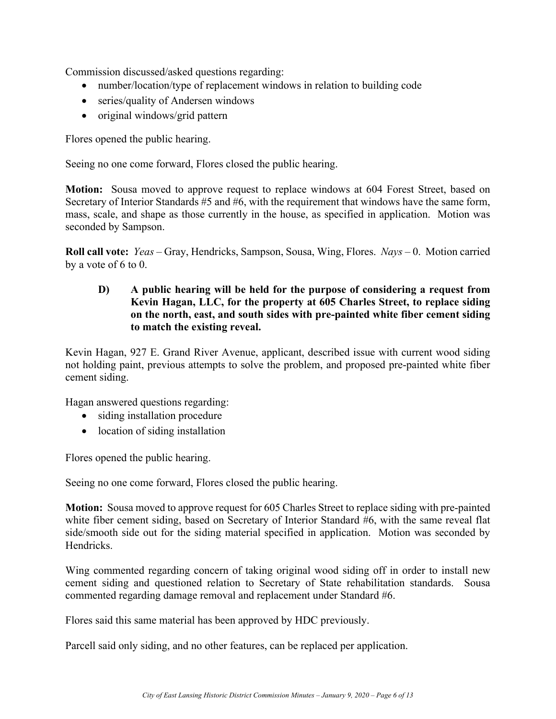Commission discussed/asked questions regarding:

- number/location/type of replacement windows in relation to building code
- series/quality of Andersen windows
- original windows/grid pattern

Flores opened the public hearing.

Seeing no one come forward, Flores closed the public hearing.

**Motion:** Sousa moved to approve request to replace windows at 604 Forest Street, based on Secretary of Interior Standards #5 and #6, with the requirement that windows have the same form, mass, scale, and shape as those currently in the house, as specified in application. Motion was seconded by Sampson.

**Roll call vote:** *Yeas* – Gray, Hendricks, Sampson, Sousa, Wing, Flores. *Nays* – 0. Motion carried by a vote of 6 to 0.

**D) A public hearing will be held for the purpose of considering a request from Kevin Hagan, LLC, for the property at 605 Charles Street, to replace siding on the north, east, and south sides with pre-painted white fiber cement siding to match the existing reveal.** 

Kevin Hagan, 927 E. Grand River Avenue, applicant, described issue with current wood siding not holding paint, previous attempts to solve the problem, and proposed pre-painted white fiber cement siding.

Hagan answered questions regarding:

- siding installation procedure
- location of siding installation

Flores opened the public hearing.

Seeing no one come forward, Flores closed the public hearing.

**Motion:** Sousa moved to approve request for 605 Charles Street to replace siding with pre-painted white fiber cement siding, based on Secretary of Interior Standard #6, with the same reveal flat side/smooth side out for the siding material specified in application. Motion was seconded by Hendricks.

Wing commented regarding concern of taking original wood siding off in order to install new cement siding and questioned relation to Secretary of State rehabilitation standards. Sousa commented regarding damage removal and replacement under Standard #6.

Flores said this same material has been approved by HDC previously.

Parcell said only siding, and no other features, can be replaced per application.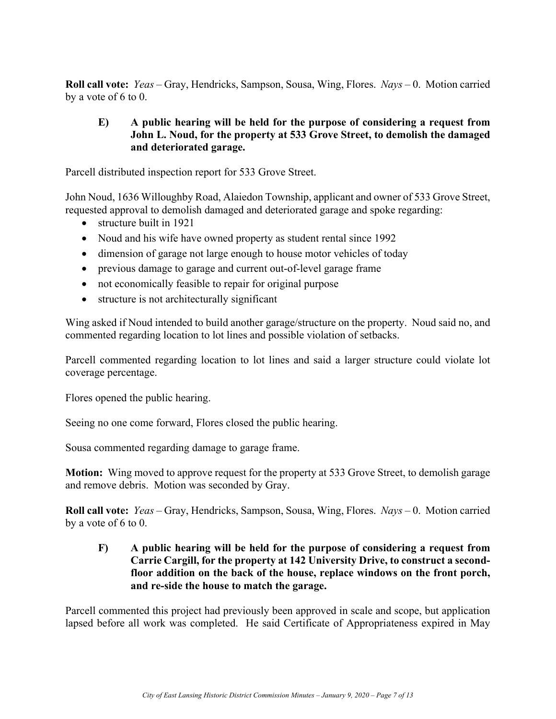**Roll call vote:** *Yeas* – Gray, Hendricks, Sampson, Sousa, Wing, Flores. *Nays* – 0. Motion carried by a vote of 6 to 0.

#### **E) A public hearing will be held for the purpose of considering a request from John L. Noud, for the property at 533 Grove Street, to demolish the damaged and deteriorated garage.**

Parcell distributed inspection report for 533 Grove Street.

John Noud, 1636 Willoughby Road, Alaiedon Township, applicant and owner of 533 Grove Street, requested approval to demolish damaged and deteriorated garage and spoke regarding:

- structure built in 1921
- Noud and his wife have owned property as student rental since 1992
- dimension of garage not large enough to house motor vehicles of today
- previous damage to garage and current out-of-level garage frame
- not economically feasible to repair for original purpose
- structure is not architecturally significant

Wing asked if Noud intended to build another garage/structure on the property. Noud said no, and commented regarding location to lot lines and possible violation of setbacks.

Parcell commented regarding location to lot lines and said a larger structure could violate lot coverage percentage.

Flores opened the public hearing.

Seeing no one come forward, Flores closed the public hearing.

Sousa commented regarding damage to garage frame.

**Motion:** Wing moved to approve request for the property at 533 Grove Street, to demolish garage and remove debris. Motion was seconded by Gray.

**Roll call vote:** *Yeas* – Gray, Hendricks, Sampson, Sousa, Wing, Flores. *Nays* – 0. Motion carried by a vote of 6 to 0.

**F) A public hearing will be held for the purpose of considering a request from Carrie Cargill, for the property at 142 University Drive, to construct a secondfloor addition on the back of the house, replace windows on the front porch, and re-side the house to match the garage.** 

Parcell commented this project had previously been approved in scale and scope, but application lapsed before all work was completed. He said Certificate of Appropriateness expired in May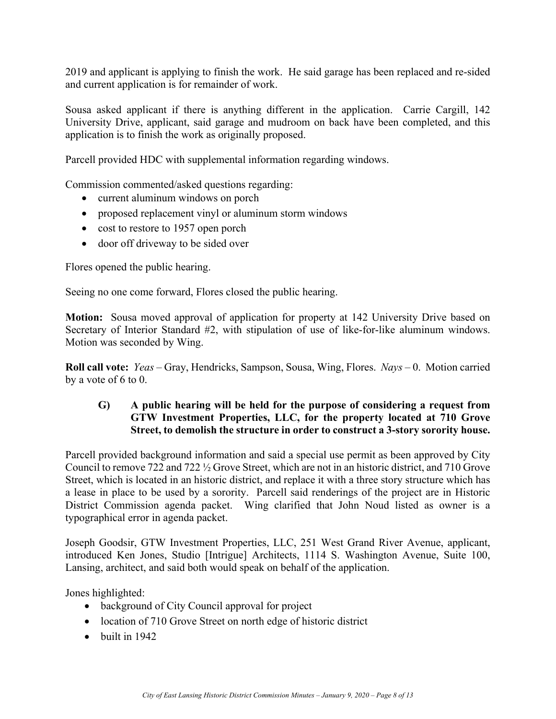2019 and applicant is applying to finish the work. He said garage has been replaced and re-sided and current application is for remainder of work.

Sousa asked applicant if there is anything different in the application. Carrie Cargill, 142 University Drive, applicant, said garage and mudroom on back have been completed, and this application is to finish the work as originally proposed.

Parcell provided HDC with supplemental information regarding windows.

Commission commented/asked questions regarding:

- current aluminum windows on porch
- proposed replacement vinyl or aluminum storm windows
- cost to restore to 1957 open porch
- door off driveway to be sided over

Flores opened the public hearing.

Seeing no one come forward, Flores closed the public hearing.

**Motion:** Sousa moved approval of application for property at 142 University Drive based on Secretary of Interior Standard #2, with stipulation of use of like-for-like aluminum windows. Motion was seconded by Wing.

**Roll call vote:** *Yeas* – Gray, Hendricks, Sampson, Sousa, Wing, Flores. *Nays* – 0. Motion carried by a vote of 6 to 0.

#### **G) A public hearing will be held for the purpose of considering a request from GTW Investment Properties, LLC, for the property located at 710 Grove Street, to demolish the structure in order to construct a 3-story sorority house.**

Parcell provided background information and said a special use permit as been approved by City Council to remove 722 and 722 ½ Grove Street, which are not in an historic district, and 710 Grove Street, which is located in an historic district, and replace it with a three story structure which has a lease in place to be used by a sorority. Parcell said renderings of the project are in Historic District Commission agenda packet. Wing clarified that John Noud listed as owner is a typographical error in agenda packet.

Joseph Goodsir, GTW Investment Properties, LLC, 251 West Grand River Avenue, applicant, introduced Ken Jones, Studio [Intrigue] Architects, 1114 S. Washington Avenue, Suite 100, Lansing, architect, and said both would speak on behalf of the application.

Jones highlighted:

- background of City Council approval for project
- location of 710 Grove Street on north edge of historic district
- $\bullet$  built in 1942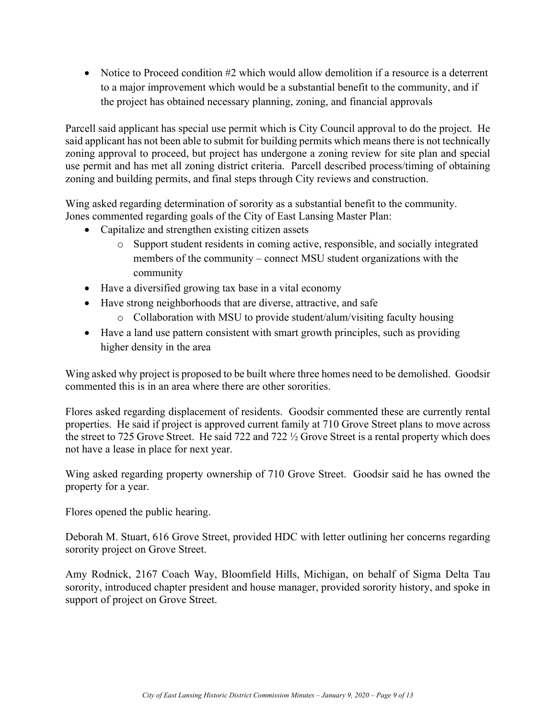• Notice to Proceed condition #2 which would allow demolition if a resource is a deterrent to a major improvement which would be a substantial benefit to the community, and if the project has obtained necessary planning, zoning, and financial approvals

Parcell said applicant has special use permit which is City Council approval to do the project. He said applicant has not been able to submit for building permits which means there is not technically zoning approval to proceed, but project has undergone a zoning review for site plan and special use permit and has met all zoning district criteria. Parcell described process/timing of obtaining zoning and building permits, and final steps through City reviews and construction.

Wing asked regarding determination of sorority as a substantial benefit to the community. Jones commented regarding goals of the City of East Lansing Master Plan:

- Capitalize and strengthen existing citizen assets
	- o Support student residents in coming active, responsible, and socially integrated members of the community – connect MSU student organizations with the community
- Have a diversified growing tax base in a vital economy
- Have strong neighborhoods that are diverse, attractive, and safe
	- o Collaboration with MSU to provide student/alum/visiting faculty housing
- Have a land use pattern consistent with smart growth principles, such as providing higher density in the area

Wing asked why project is proposed to be built where three homes need to be demolished. Goodsir commented this is in an area where there are other sororities.

Flores asked regarding displacement of residents. Goodsir commented these are currently rental properties. He said if project is approved current family at 710 Grove Street plans to move across the street to 725 Grove Street. He said 722 and 722 ½ Grove Street is a rental property which does not have a lease in place for next year.

Wing asked regarding property ownership of 710 Grove Street. Goodsir said he has owned the property for a year.

Flores opened the public hearing.

Deborah M. Stuart, 616 Grove Street, provided HDC with letter outlining her concerns regarding sorority project on Grove Street.

Amy Rodnick, 2167 Coach Way, Bloomfield Hills, Michigan, on behalf of Sigma Delta Tau sorority, introduced chapter president and house manager, provided sorority history, and spoke in support of project on Grove Street.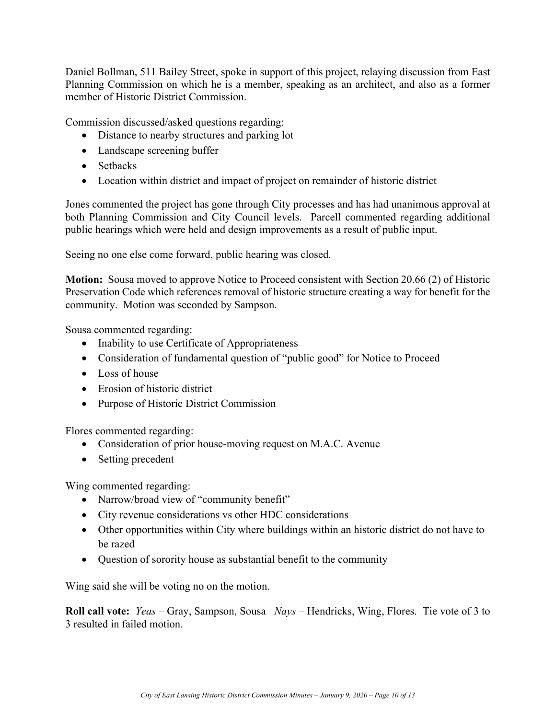Daniel Bollman, 511 Bailey Street, spoke in support of this project, relaying discussion from East Planning Commission on which he is a member, speaking as an architect, and also as a former member of Historic District Commission.

Commission discussed/asked questions regarding:

- Distance to nearby structures and parking lot
- Landscape screening buffer
- Setbacks
- Location within district and impact of project on remainder of historic district

Jones commented the project has gone through City processes and has had unanimous approval at both Planning Commission and City Council levels. Parcell commented regarding additional public hearings which were held and design improvements as a result of public input.

Seeing no one else come forward, public hearing was closed.

**Motion:** Sousa moved to approve Notice to Proceed consistent with Section 20.66 (2) of Historic Preservation Code which references removal of historic structure creating a way for benefit for the community. Motion was seconded by Sampson.

Sousa commented regarding:

- Inability to use Certificate of Appropriateness
- Consideration of fundamental question of "public good" for Notice to Proceed
- Loss of house
- Erosion of historic district
- Purpose of Historic District Commission

Flores commented regarding:

- Consideration of prior house-moving request on M.A.C. Avenue
- Setting precedent

Wing commented regarding:

- Narrow/broad view of "community benefit"
- City revenue considerations vs other HDC considerations
- Other opportunities within City where buildings within an historic district do not have to be razed
- Question of sorority house as substantial benefit to the community

Wing said she will be voting no on the motion.

**Roll call vote:** *Yeas –* Gray, Sampson, Sousa *Nays –* Hendricks, Wing, Flores. Tie vote of 3 to 3 resulted in failed motion.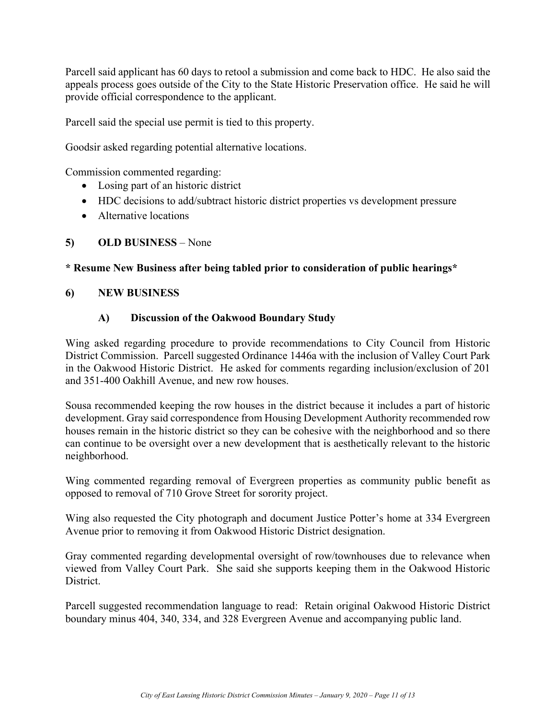Parcell said applicant has 60 days to retool a submission and come back to HDC. He also said the appeals process goes outside of the City to the State Historic Preservation office. He said he will provide official correspondence to the applicant.

Parcell said the special use permit is tied to this property.

Goodsir asked regarding potential alternative locations.

Commission commented regarding:

- Losing part of an historic district
- HDC decisions to add/subtract historic district properties vs development pressure
- Alternative locations

#### **5) OLD BUSINESS** – None

#### **\* Resume New Business after being tabled prior to consideration of public hearings\***

#### **6) NEW BUSINESS**

#### **A) Discussion of the Oakwood Boundary Study**

Wing asked regarding procedure to provide recommendations to City Council from Historic District Commission. Parcell suggested Ordinance 1446a with the inclusion of Valley Court Park in the Oakwood Historic District. He asked for comments regarding inclusion/exclusion of 201 and 351-400 Oakhill Avenue, and new row houses.

Sousa recommended keeping the row houses in the district because it includes a part of historic development. Gray said correspondence from Housing Development Authority recommended row houses remain in the historic district so they can be cohesive with the neighborhood and so there can continue to be oversight over a new development that is aesthetically relevant to the historic neighborhood.

Wing commented regarding removal of Evergreen properties as community public benefit as opposed to removal of 710 Grove Street for sorority project.

Wing also requested the City photograph and document Justice Potter's home at 334 Evergreen Avenue prior to removing it from Oakwood Historic District designation.

Gray commented regarding developmental oversight of row/townhouses due to relevance when viewed from Valley Court Park. She said she supports keeping them in the Oakwood Historic District.

Parcell suggested recommendation language to read: Retain original Oakwood Historic District boundary minus 404, 340, 334, and 328 Evergreen Avenue and accompanying public land.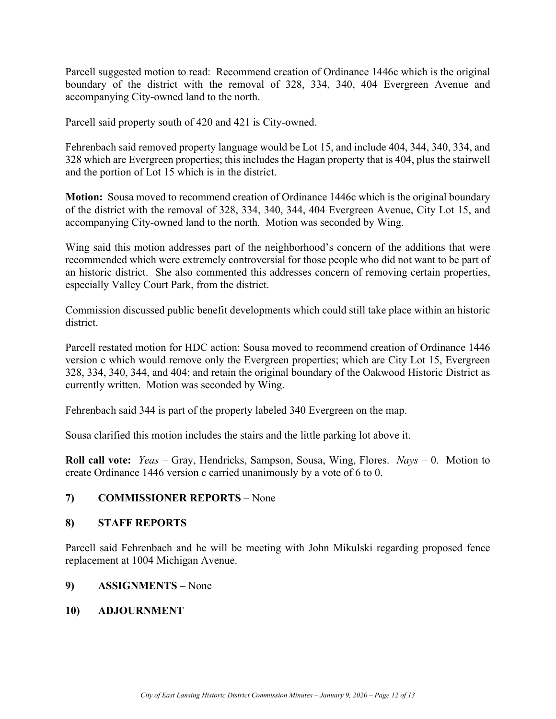Parcell suggested motion to read: Recommend creation of Ordinance 1446c which is the original boundary of the district with the removal of 328, 334, 340, 404 Evergreen Avenue and accompanying City-owned land to the north.

Parcell said property south of 420 and 421 is City-owned.

Fehrenbach said removed property language would be Lot 15, and include 404, 344, 340, 334, and 328 which are Evergreen properties; this includes the Hagan property that is 404, plus the stairwell and the portion of Lot 15 which is in the district.

**Motion:** Sousa moved to recommend creation of Ordinance 1446c which is the original boundary of the district with the removal of 328, 334, 340, 344, 404 Evergreen Avenue, City Lot 15, and accompanying City-owned land to the north. Motion was seconded by Wing.

Wing said this motion addresses part of the neighborhood's concern of the additions that were recommended which were extremely controversial for those people who did not want to be part of an historic district. She also commented this addresses concern of removing certain properties, especially Valley Court Park, from the district.

Commission discussed public benefit developments which could still take place within an historic district.

Parcell restated motion for HDC action: Sousa moved to recommend creation of Ordinance 1446 version c which would remove only the Evergreen properties; which are City Lot 15, Evergreen 328, 334, 340, 344, and 404; and retain the original boundary of the Oakwood Historic District as currently written. Motion was seconded by Wing.

Fehrenbach said 344 is part of the property labeled 340 Evergreen on the map.

Sousa clarified this motion includes the stairs and the little parking lot above it.

**Roll call vote:** *Yeas* – Gray, Hendricks, Sampson, Sousa, Wing, Flores. *Nays* – 0. Motion to create Ordinance 1446 version c carried unanimously by a vote of 6 to 0.

#### **7) COMMISSIONER REPORTS** – None

#### **8) STAFF REPORTS**

Parcell said Fehrenbach and he will be meeting with John Mikulski regarding proposed fence replacement at 1004 Michigan Avenue.

#### **9) ASSIGNMENTS** – None

#### **10) ADJOURNMENT**